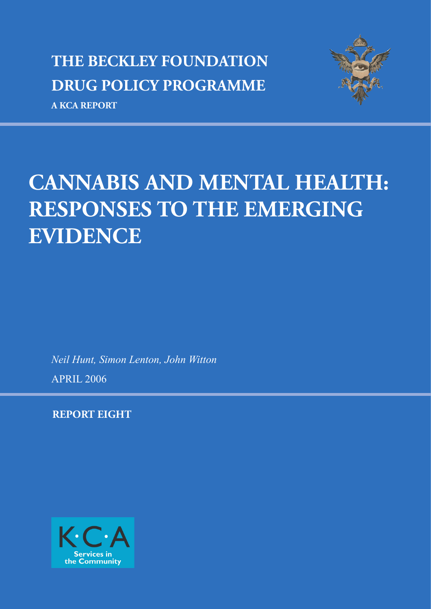## **THE BECKLEY FOUNDATION DRUG POLICY PROGRAMME**

**A KCA REPORT**



## **CANNABIS AND MENTAL HEALTH: RESPONSES TO THE EMERGING EVIDENCE**

*Neil Hunt, Simon Lenton, John Witton*

APRIL 2006

**REPORT EIGHT**

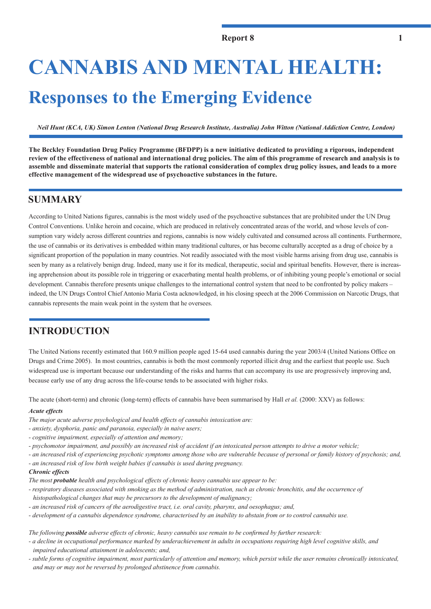# **CANNABIS AND MENTAL HEALTH: Responses to the Emerging Evidence**

*Neil Hunt (KCA, UK) Simon Lenton (National Drug Research Institute, Australia) John Witton (National Addiction Centre, London)*

**The Beckley Foundation Drug Policy Programme (BFDPP) is a new initiative dedicated to providing a rigorous, independent review of the effectiveness of national and international drug policies. The aim of this programme of research and analysis is to assemble and disseminate material that supports the rational consideration of complex drug policy issues, and leads to a more effective management of the widespread use of psychoactive substances in the future.**

## **SUMMARY**

According to United Nations figures, cannabis is the most widely used of the psychoactive substances that are prohibited under the UN Drug Control Conventions. Unlike heroin and cocaine, which are produced in relatively concentrated areas of the world, and whose levels of consumption vary widely across different countries and regions, cannabis is now widely cultivated and consumed across all continents. Furthermore, the use of cannabis or its derivatives is embedded within many traditional cultures, or has become culturally accepted as a drug of choice by a significant proportion of the population in many countries. Not readily associated with the most visible harms arising from drug use, cannabis is seen by many as a relatively benign drug. Indeed, many use it for its medical, therapeutic, social and spiritual benefits. However, there is increasing apprehension about its possible role in triggering or exacerbating mental health problems, or of inhibiting young people's emotional or social development. Cannabis therefore presents unique challenges to the international control system that need to be confronted by policy makers – indeed, the UN Drugs Control Chief Antonio Maria Costa acknowledged, in his closing speech at the 2006 Commission on Narcotic Drugs, that cannabis represents the main weak point in the system that he oversees.

## **INTRODUCTION**

The United Nations recently estimated that 160.9 million people aged 15-64 used cannabis during the year 2003/4 (United Nations Office on Drugs and Crime 2005). In most countries, cannabis is both the most commonly reported illicit drug and the earliest that people use. Such widespread use is important because our understanding of the risks and harms that can accompany its use are progressively improving and, because early use of any drug across the life-course tends to be associated with higher risks.

The acute (short-term) and chronic (long-term) effects of cannabis have been summarised by Hall *et al.* (2000: XXV) as follows:

#### *Acute effects*

- *The major acute adverse psychological and health effects of cannabis intoxication are:*
- *anxiety, dysphoria, panic and paranoia, especially in naive users;*
- *cognitive impairment, especially of attention and memory;*
- *psychomotor impairment, and possibly an increased risk of accident if an intoxicated person attempts to drive a motor vehicle;*
- *an increased risk of experiencing psychotic symptoms among those who are vulnerable because of personal or family history of psychosis; and,*
- *an increased risk of low birth weight babies if cannabis is used during pregnancy.*

#### *Chronic effects*

*The most probable health and psychological effects of chronic heavy cannabis use appear to be:*

- *respiratory diseases associated with smoking as the method of administration, such as chronic bronchitis, and the occurrence of histopathological changes that may be precursors to the development of malignancy;*
- *an increased risk of cancers of the aerodigestive tract, i.e. oral cavity, pharynx, and oesophagus; and,*
- *development of a cannabis dependence syndrome, characterised by an inability to abstain from or to control cannabis use.*

*The following possible adverse effects of chronic, heavy cannabis use remain to be confirmed by further research:* 

- *a decline in occupational performance marked by underachievement in adults in occupations requiring high level cognitive skills, and impaired educational attainment in adolescents; and,*
- *subtle forms of cognitive impairment, most particularly of attention and memory, which persist while the user remains chronically intoxicated, and may or may not be reversed by prolonged abstinence from cannabis.*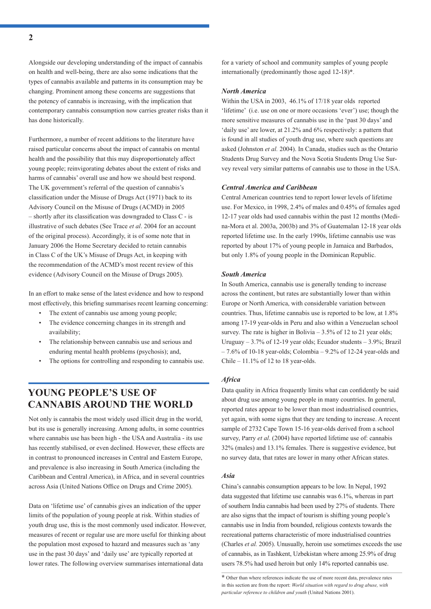Alongside our developing understanding of the impact of cannabis on health and well-being, there are also some indications that the types of cannabis available and patterns in its consumption may be changing. Prominent among these concerns are suggestions that the potency of cannabis is increasing, with the implication that contemporary cannabis consumption now carries greater risks than it has done historically.

Furthermore, a number of recent additions to the literature have raised particular concerns about the impact of cannabis on mental health and the possibility that this may disproportionately affect young people; reinvigorating debates about the extent of risks and harms of cannabis' overall use and how we should best respond. The UK government's referral of the question of cannabis's classification under the Misuse of Drugs Act (1971) back to its Advisory Council on the Misuse of Drugs (ACMD) in 2005  $-$  shortly after its classification was downgraded to Class C - is illustrative of such debates (See Trace *et al*. 2004 for an account of the original process). Accordingly, it is of some note that in January 2006 the Home Secretary decided to retain cannabis in Class C of the UK's Misuse of Drugs Act, in keeping with the recommendation of the ACMD's most recent review of this evidence (Advisory Council on the Misuse of Drugs 2005).

In an effort to make sense of the latest evidence and how to respond most effectively, this briefing summarises recent learning concerning:

- The extent of cannabis use among young people;
- The evidence concerning changes in its strength and availability;
- The relationship between cannabis use and serious and enduring mental health problems (psychosis); and,
- The options for controlling and responding to cannabis use.

## **YOUNG PEOPLE'S USE OF CANNABIS AROUND THE WORLD**

Not only is cannabis the most widely used illicit drug in the world, but its use is generally increasing. Among adults, in some countries where cannabis use has been high - the USA and Australia - its use has recently stabilised, or even declined. However, these effects are in contrast to pronounced increases in Central and Eastern Europe, and prevalence is also increasing in South America (including the Caribbean and Central America), in Africa, and in several countries across Asia (United Nations Office on Drugs and Crime 2005).

Data on 'lifetime use' of cannabis gives an indication of the upper limits of the population of young people at risk. Within studies of youth drug use, this is the most commonly used indicator. However, measures of recent or regular use are more useful for thinking about the population most exposed to hazard and measures such as 'any use in the past 30 days' and 'daily use' are typically reported at lower rates. The following overview summarises international data

for a variety of school and community samples of young people internationally (predominantly those aged 12-18)**\***.

#### *North America*

Within the USA in 2003, 46.1% of 17/18 year olds reported 'lifetime' (i.e. use on one or more occasions 'ever') use; though the more sensitive measures of cannabis use in the 'past 30 days' and 'daily use' are lower, at 21.2% and 6% respectively: a pattern that is found in all studies of youth drug use, where such questions are asked (Johnston *et al.* 2004). In Canada, studies such as the Ontario Students Drug Survey and the Nova Scotia Students Drug Use Survey reveal very similar patterns of cannabis use to those in the USA.

#### *Central America and Caribbean*

Central American countries tend to report lower levels of lifetime use. For Mexico, in 1998, 2.4% of males and 0.45% of females aged 12-17 year olds had used cannabis within the past 12 months (Medina-Mora et al. 2003a, 2003b) and 3% of Guatemalan 12-18 year olds reported lifetime use. In the early 1990s, lifetime cannabis use was reported by about 17% of young people in Jamaica and Barbados, but only 1.8% of young people in the Dominican Republic.

#### *South America*

In South America, cannabis use is generally tending to increase across the continent, but rates are substantially lower than within Europe or North America, with considerable variation between countries. Thus, lifetime cannabis use is reported to be low, at 1.8% among 17-19 year-olds in Peru and also within a Venezuelan school survey. The rate is higher in Bolivia  $-3.5\%$  of 12 to 21 year olds; Uruguay  $-3.7\%$  of 12-19 year olds; Ecuador students  $-3.9\%$ ; Brazil – 7.6% of 10-18 year-olds; Colombia – 9.2% of 12-24 year-olds and Chile –  $11.1\%$  of 12 to 18 year-olds.

#### *Africa*

Data quality in Africa frequently limits what can confidently be said about drug use among young people in many countries. In general, reported rates appear to be lower than most industrialised countries, yet again, with some signs that they are tending to increase. A recent sample of 2732 Cape Town 15-16 year-olds derived from a school survey, Parry *et al*. (2004) have reported lifetime use of: cannabis 32% (males) and 13.1% females. There is suggestive evidence, but no survey data, that rates are lower in many other African states.

#### *Asia*

China's cannabis consumption appears to be low. In Nepal, 1992 data suggested that lifetime use cannabis was 6.1%, whereas in part of southern India cannabis had been used by 27% of students. There are also signs that the impact of tourism is shifting young people's cannabis use in India from bounded, religious contexts towards the recreational patterns characteristic of more industrialised countries (Charles *et al.* 2005). Unusually, heroin use sometimes exceeds the use of cannabis, as in Tashkent, Uzbekistan where among 25.9% of drug users 78.5% had used heroin but only 14% reported cannabis use.

**<sup>\*</sup>** Other than where references indicate the use of more recent data, prevalence rates in this section are from the report: *World situation with regard to drug abuse, with particular reference to children and youth* (United Nations 2001).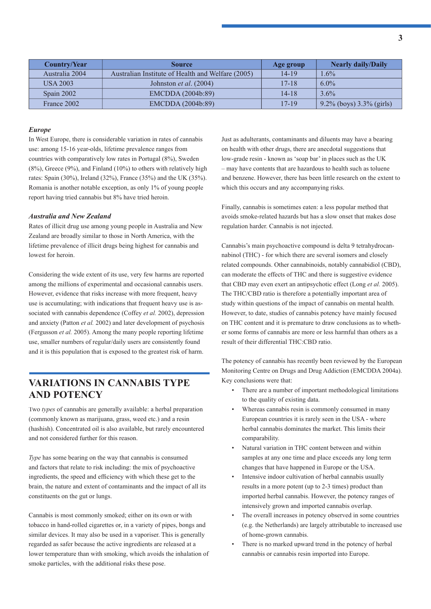| Country/Year    | <b>Source</b>                                     | Age group | <b>Nearly daily/Daily</b>   |
|-----------------|---------------------------------------------------|-----------|-----------------------------|
| Australia 2004  | Australian Institute of Health and Welfare (2005) | $14 - 19$ | $1.6\%$                     |
| <b>USA 2003</b> | Johnston <i>et al.</i> $(2004)$                   | $17 - 18$ | $6.0\%$                     |
| Spain 2002      | EMCDDA (2004b:89)                                 | $14 - 18$ | 3.6%                        |
| France 2002     | EMCDDA (2004b:89)                                 | 17-19     | $9.2\%$ (boys) 3.3% (girls) |

#### *Europe*

In West Europe, there is considerable variation in rates of cannabis use: among 15-16 year-olds, lifetime prevalence ranges from countries with comparatively low rates in Portugal (8%), Sweden  $(8\%)$ , Greece  $(9\%)$ , and Finland  $(10\%)$  to others with relatively high rates: Spain (30%), Ireland (32%), France (35%) and the UK (35%). Romania is another notable exception, as only 1% of young people report having tried cannabis but 8% have tried heroin.

#### *Australia and New Zealand*

Rates of illicit drug use among young people in Australia and New Zealand are broadly similar to those in North America, with the lifetime prevalence of illicit drugs being highest for cannabis and lowest for heroin.

Considering the wide extent of its use, very few harms are reported among the millions of experimental and occasional cannabis users. However, evidence that risks increase with more frequent, heavy use is accumulating; with indications that frequent heavy use is associated with cannabis dependence (Coffey *et al.* 2002), depression and anxiety (Patton *et al.* 2002) and later development of psychosis (Fergusson *et al.* 2005). Among the many people reporting lifetime use, smaller numbers of regular/daily users are consistently found and it is this population that is exposed to the greatest risk of harm.

## **VARIATIONS IN CANNABIS TYPE AND POTENCY**

Two *types* of cannabis are generally available: a herbal preparation (commonly known as marijuana, grass, weed etc.) and a resin (hashish). Concentrated oil is also available, but rarely encountered and not considered further for this reason.

*Type* has some bearing on the way that cannabis is consumed and factors that relate to risk including: the mix of psychoactive ingredients, the speed and efficiency with which these get to the brain, the nature and extent of contaminants and the impact of all its constituents on the gut or lungs.

Cannabis is most commonly smoked; either on its own or with tobacco in hand-rolled cigarettes or, in a variety of pipes, bongs and similar devices. It may also be used in a vaporiser. This is generally regarded as safer because the active ingredients are released at a lower temperature than with smoking, which avoids the inhalation of smoke particles, with the additional risks these pose.

Just as adulterants, contaminants and diluents may have a bearing on health with other drugs, there are anecdotal suggestions that low-grade resin - known as 'soap bar' in places such as the UK – may have contents that are hazardous to health such as toluene and benzene. However, there has been little research on the extent to which this occurs and any accompanying risks.

Finally, cannabis is sometimes eaten: a less popular method that avoids smoke-related hazards but has a slow onset that makes dose regulation harder. Cannabis is not injected.

Cannabis's main psychoactive compound is delta 9 tetrahydrocannabinol (THC) - for which there are several isomers and closely related compounds. Other cannabinoids, notably cannabidiol (CBD), can moderate the effects of THC and there is suggestive evidence that CBD may even exert an antipsychotic effect (Long *et al.* 2005). The THC/CBD ratio is therefore a potentially important area of study within questions of the impact of cannabis on mental health. However, to date, studies of cannabis potency have mainly focused on THC content and it is premature to draw conclusions as to whether some forms of cannabis are more or less harmful than others as a result of their differential THC:CBD ratio.

The potency of cannabis has recently been reviewed by the European Monitoring Centre on Drugs and Drug Addiction (EMCDDA 2004a). Key conclusions were that:

- There are a number of important methodological limitations to the quality of existing data.
- Whereas cannabis resin is commonly consumed in many European countries it is rarely seen in the USA - where herbal cannabis dominates the market. This limits their comparability.
- Natural variation in THC content between and within samples at any one time and place exceeds any long term changes that have happened in Europe or the USA.
- Intensive indoor cultivation of herbal cannabis usually results in a more potent (up to 2-3 times) product than imported herbal cannabis. However, the potency ranges of intensively grown and imported cannabis overlap.
- The overall increases in potency observed in some countries (e.g. the Netherlands) are largely attributable to increased use of home-grown cannabis.
- There is no marked upward trend in the potency of herbal cannabis or cannabis resin imported into Europe.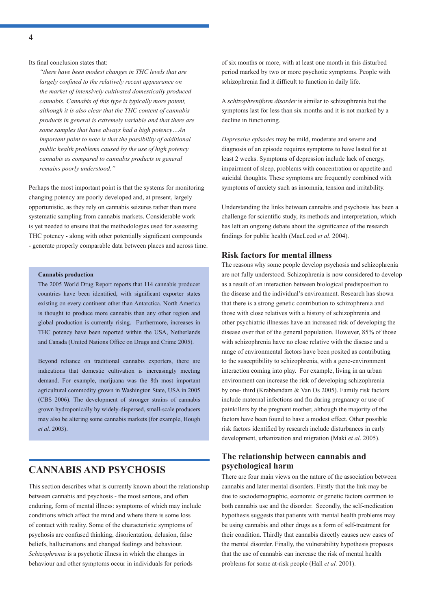Its final conclusion states that:

*"there have been modest changes in THC levels that are*  largely confined to the relatively recent appearance on *the market of intensively cultivated domestically produced cannabis. Cannabis of this type is typically more potent, although it is also clear that the THC content of cannabis products in general is extremely variable and that there are some samples that have always had a high potency…An important point to note is that the possibility of additional public health problems caused by the use of high potency cannabis as compared to cannabis products in general remains poorly understood."*

Perhaps the most important point is that the systems for monitoring changing potency are poorly developed and, at present, largely opportunistic, as they rely on cannabis seizures rather than more systematic sampling from cannabis markets. Considerable work is yet needed to ensure that the methodologies used for assessing THC potency - along with other potentially significant compounds - generate properly comparable data between places and across time.

#### **Cannabis production**

The 2005 World Drug Report reports that 114 cannabis producer countries have been identified, with significant exporter states existing on every continent other than Antarctica. North America is thought to produce more cannabis than any other region and global production is currently rising. Furthermore, increases in THC potency have been reported within the USA, Netherlands and Canada (United Nations Office on Drugs and Crime 2005).

Beyond reliance on traditional cannabis exporters, there are indications that domestic cultivation is increasingly meeting demand. For example, marijuana was the 8th most important agricultural commodity grown in Washington State, USA in 2005 (CBS 2006). The development of stronger strains of cannabis grown hydroponically by widely-dispersed, small-scale producers may also be altering some cannabis markets (for example, Hough *et al*. 2003).

## **CANNABIS AND PSYCHOSIS**

This section describes what is currently known about the relationship between cannabis and psychosis - the most serious, and often enduring, form of mental illness: symptoms of which may include conditions which affect the mind and where there is some loss of contact with reality. Some of the characteristic symptoms of psychosis are confused thinking, disorientation, delusion, false beliefs, hallucinations and changed feelings and behaviour. *Schizophrenia* is a psychotic illness in which the changes in behaviour and other symptoms occur in individuals for periods

of six months or more, with at least one month in this disturbed period marked by two or more psychotic symptoms. People with schizophrenia find it difficult to function in daily life.

A *schizophreniform disorder* is similar to schizophrenia but the symptoms last for less than six months and it is not marked by a decline in functioning.

*Depressive episodes* may be mild, moderate and severe and diagnosis of an episode requires symptoms to have lasted for at least 2 weeks. Symptoms of depression include lack of energy, impairment of sleep, problems with concentration or appetite and suicidal thoughts. These symptoms are frequently combined with symptoms of anxiety such as insomnia, tension and irritability.

Understanding the links between cannabis and psychosis has been a challenge for scientific study, its methods and interpretation, which has left an ongoing debate about the significance of the research findings for public health (MacLeod *et al.* 2004).

#### **Risk factors for mental illness**

The reasons why some people develop psychosis and schizophrenia are not fully understood. Schizophrenia is now considered to develop as a result of an interaction between biological predisposition to the disease and the individual's environment. Research has shown that there is a strong genetic contribution to schizophrenia and those with close relatives with a history of schizophrenia and other psychiatric illnesses have an increased risk of developing the disease over that of the general population. However, 85% of those with schizophrenia have no close relative with the disease and a range of environmental factors have been posited as contributing to the susceptibility to schizophrenia, with a gene-environment interaction coming into play. For example, living in an urban environment can increase the risk of developing schizophrenia by one- third (Krabbendam & Van Os 2005). Family risk factors include maternal infections and flu during pregnancy or use of painkillers by the pregnant mother, although the majority of the factors have been found to have a modest effect. Other possible risk factors identified by research include disturbances in early development, urbanization and migration (Maki *et al*. 2005).

#### **The relationship between cannabis and psychological harm**

There are four main views on the nature of the association between cannabis and later mental disorders. Firstly that the link may be due to sociodemographic, economic or genetic factors common to both cannabis use and the disorder. Secondly, the self-medication hypothesis suggests that patients with mental health problems may be using cannabis and other drugs as a form of self-treatment for their condition. Thirdly that cannabis directly causes new cases of the mental disorder. Finally, the vulnerability hypothesis proposes that the use of cannabis can increase the risk of mental health problems for some at-risk people (Hall *et al.* 2001).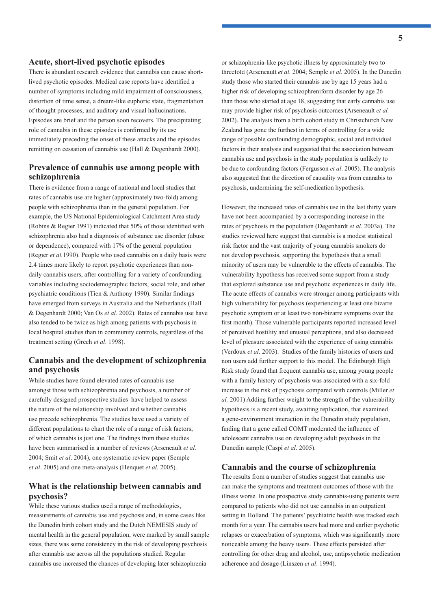#### **Acute, short-lived psychotic episodes**

There is abundant research evidence that cannabis can cause shortlived psychotic episodes. Medical case reports have identified a number of symptoms including mild impairment of consciousness, distortion of time sense, a dream-like euphoric state, fragmentation of thought processes, and auditory and visual hallucinations. Episodes are brief and the person soon recovers. The precipitating role of cannabis in these episodes is confirmed by its use immediately preceding the onset of these attacks and the episodes remitting on cessation of cannabis use (Hall & Degenhardt 2000).

#### **Prevalence of cannabis use among people with schizophrenia**

There is evidence from a range of national and local studies that rates of cannabis use are higher (approximately two-fold) among people with schizophrenia than in the general population. For example, the US National Epidemiological Catchment Area study (Robins & Regier 1991) indicated that  $50\%$  of those identified with schizophrenia also had a diagnosis of substance use disorder (abuse or dependence), compared with 17% of the general population (Regier *et al.*1990). People who used cannabis on a daily basis were 2.4 times more likely to report psychotic experiences than nondaily cannabis users, after controlling for a variety of confounding variables including sociodemographic factors, social role, and other psychiatric conditions (Tien  $&$  Anthony 1990). Similar findings have emerged from surveys in Australia and the Netherlands (Hall & Degenhardt 2000; Van Os *et al*. 2002). Rates of cannabis use have also tended to be twice as high among patients with psychosis in local hospital studies than in community controls, regardless of the treatment setting (Grech *et al*. 1998).

#### **Cannabis and the development of schizophrenia and psychosis**

While studies have found elevated rates of cannabis use amongst those with schizophrenia and psychosis, a number of carefully designed prospective studies have helped to assess the nature of the relationship involved and whether cannabis use precede schizophrenia. The studies have used a variety of different populations to chart the role of a range of risk factors, of which cannabis is just one. The findings from these studies have been summarised in a number of reviews (Arseneault *et al*. 2004; Smit *et al*. 2004), one systematic review paper (Semple *et al*. 2005) and one meta-analysis (Henquet *et al.* 2005).

#### **What is the relationship between cannabis and psychosis?**

While these various studies used a range of methodologies, measurements of cannabis use and psychosis and, in some cases like the Dunedin birth cohort study and the Dutch NEMESIS study of mental health in the general population, were marked by small sample sizes, there was some consistency in the risk of developing psychosis after cannabis use across all the populations studied. Regular cannabis use increased the chances of developing later schizophrenia

or schizophrenia-like psychotic illness by approximately two to threefold (Arseneault *et al.* 2004; Semple *et al.* 2005). In the Dunedin study those who started their cannabis use by age 15 years had a higher risk of developing schizophreniform disorder by age 26 than those who started at age 18, suggesting that early cannabis use may provide higher risk of psychosis outcomes (Arseneault *et al.* 2002). The analysis from a birth cohort study in Christchurch New Zealand has gone the furthest in terms of controlling for a wide range of possible confounding demographic, social and individual factors in their analysis and suggested that the association between cannabis use and psychosis in the study population is unlikely to be due to confounding factors (Fergusson *et al*. 2005). The analysis also suggested that the direction of causality was from cannabis to psychosis, undermining the self-medication hypothesis.

However, the increased rates of cannabis use in the last thirty years have not been accompanied by a corresponding increase in the rates of psychosis in the population (Degenhardt *et al.* 2003a). The studies reviewed here suggest that cannabis is a modest statistical risk factor and the vast majority of young cannabis smokers do not develop psychosis, supporting the hypothesis that a small minority of users may be vulnerable to the effects of cannabis. The vulnerability hypothesis has received some support from a study that explored substance use and psychotic experiences in daily life. The acute effects of cannabis were stronger among participants with high vulnerability for psychosis (experiencing at least one bizarre psychotic symptom or at least two non-bizarre symptoms over the first month). Those vulnerable participants reported increased level of perceived hostility and unusual perceptions, and also decreased level of pleasure associated with the experience of using cannabis (Verdoux *et al*. 2003). Studies of the family histories of users and non users add further support to this model. The Edinburgh High Risk study found that frequent cannabis use, among young people with a family history of psychosis was associated with a six-fold increase in the risk of psychosis compared with controls (Miller *et al.* 2001) Adding further weight to the strength of the vulnerability hypothesis is a recent study, awaiting replication, that examined a gene-environment interaction in the Dunedin study population, finding that a gene called COMT moderated the influence of adolescent cannabis use on developing adult psychosis in the Dunedin sample (Caspi *et al*. 2005).

#### **Cannabis and the course of schizophrenia**

The results from a number of studies suggest that cannabis use can make the symptoms and treatment outcomes of those with the illness worse. In one prospective study cannabis-using patients were compared to patients who did not use cannabis in an outpatient setting in Holland. The patients' psychiatric health was tracked each month for a year. The cannabis users had more and earlier psychotic relapses or exacerbation of symptoms, which was significantly more noticeable among the heavy users. These effects persisted after controlling for other drug and alcohol, use, antipsychotic medication adherence and dosage (Linszen *et al*. 1994).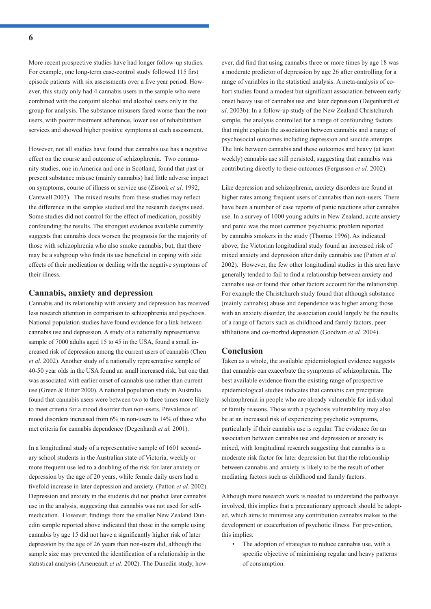More recent prospective studies have had longer follow-up studies. For example, one long-term case-control study followed 115 first episode patients with six assessments over a five year period. However, this study only had 4 cannabis users in the sample who were combined with the conjoint alcohol and alcohol users only in the group for analysis. The substance misusers fared worse than the nonusers, with poorer treatment adherence, lower use of rehabilitation services and showed higher positive symptoms at each assessment.

However, not all studies have found that cannabis use has a negative effect on the course and outcome of schizophrenia. Two community studies, one in America and one in Scotland, found that past or present substance misuse (mainly cannabis) had little adverse impact on symptoms, course of illness or service use (Zisook *et al*. 1992; Cantwell 2003). The mixed results from these studies may reflect the difference in the samples studied and the research designs used. Some studies did not control for the effect of medication, possibly confounding the results. The strongest evidence available currently suggests that cannabis does worsen the prognosis for the majority of those with schizophrenia who also smoke cannabis; but, that there may be a subgroup who finds its use beneficial in coping with side effects of their medication or dealing with the negative symptoms of their illness.

#### **Cannabis, anxiety and depression**

Cannabis and its relationship with anxiety and depression has received less research attention in comparison to schizophrenia and psychosis. National population studies have found evidence for a link between cannabis use and depression. A study of a nationally representative sample of 7000 adults aged 15 to 45 in the USA, found a small increased risk of depression among the current users of cannabis (Chen *et al*. 2002). Another study of a nationally representative sample of 40-50 year olds in the USA found an small increased risk, but one that was associated with earlier onset of cannabis use rather than current use (Green & Ritter 2000). A national population study in Australia found that cannabis users were between two to three times more likely to meet criteria for a mood disorder than non-users. Prevalence of mood disorders increased from 6% in non-users to 14% of those who met criteria for cannabis dependence (Degenhardt *et al.* 2001).

In a longitudinal study of a representative sample of 1601 secondary school students in the Australian state of Victoria, weekly or more frequent use led to a doubling of the risk for later anxiety or depression by the age of 20 years, while female daily users had a fivefold increase in later depression and anxiety. (Patton *et al.* 2002). Depression and anxiety in the students did not predict later cannabis use in the analysis, suggesting that cannabis was not used for selfmedication. However, findings from the smaller New Zealand Dunedin sample reported above indicated that those in the sample using cannabis by age 15 did not have a significantly higher risk of later depression by the age of 26 years than non-users did, although the sample size may prevented the identification of a relationship in the statistical analysis (Arseneault *et al*. 2002). The Dunedin study, however, did find that using cannabis three or more times by age 18 was a moderate predictor of depression by age 26 after controlling for a range of variables in the statistical analysis. A meta-analysis of cohort studies found a modest but significant association between early onset heavy use of cannabis use and later depression (Degenhardt *et al*. 2003b). In a follow-up study of the New Zealand Christchurch sample, the analysis controlled for a range of confounding factors that might explain the association between cannabis and a range of psychosocial outcomes including depression and suicide attempts. The link between cannabis and these outcomes and heavy (at least weekly) cannabis use still persisted, suggesting that cannabis was contributing directly to these outcomes (Fergusson *et al.* 2002).

Like depression and schizophrenia, anxiety disorders are found at higher rates among frequent users of cannabis than non-users. There have been a number of case reports of panic reactions after cannabis use. In a survey of 1000 young adults in New Zealand, acute anxiety and panic was the most common psychiatric problem reported by cannabis smokers in the study (Thomas 1996). As indicated above, the Victorian longitudinal study found an increased risk of mixed anxiety and depression after daily cannabis use (Patton *et al.* 2002). However, the few other longitudinal studies in this area have generally tended to fail to find a relationship between anxiety and cannabis use or found that other factors account for the relationship. For example the Christchurch study found that although substance (mainly cannabis) abuse and dependence was higher among those with an anxiety disorder, the association could largely be the results of a range of factors such as childhood and family factors, peer affiliations and co-morbid depression (Goodwin et al. 2004).

#### **Conclusion**

Taken as a whole, the available epidemiological evidence suggests that cannabis can exacerbate the symptoms of schizophrenia. The best available evidence from the existing range of prospective epidemiological studies indicates that cannabis can precipitate schizophrenia in people who are already vulnerable for individual or family reasons. Those with a psychosis vulnerability may also be at an increased risk of experiencing psychotic symptoms, particularly if their cannabis use is regular. The evidence for an association between cannabis use and depression or anxiety is mixed, with longitudinal research suggesting that cannabis is a moderate risk factor for later depression but that the relationship between cannabis and anxiety is likely to be the result of other mediating factors such as childhood and family factors.

Although more research work is needed to understand the pathways involved, this implies that a precautionary approach should be adopted, which aims to minimise any contribution cannabis makes to the development or exacerbation of psychotic illness. For prevention, this implies:

The adoption of strategies to reduce cannabis use, with a specific objective of minimising regular and heavy patterns of consumption.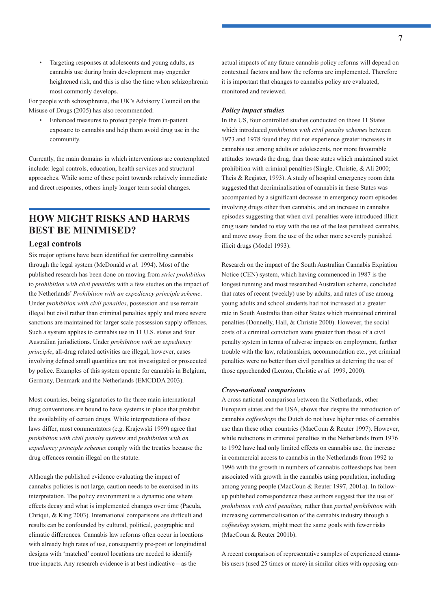• Targeting responses at adolescents and young adults, as cannabis use during brain development may engender heightened risk, and this is also the time when schizophrenia most commonly develops.

For people with schizophrenia, the UK's Advisory Council on the Misuse of Drugs (2005) has also recommended:

• Enhanced measures to protect people from in-patient exposure to cannabis and help them avoid drug use in the community.

Currently, the main domains in which interventions are contemplated include: legal controls, education, health services and structural approaches. While some of these point towards relatively immediate and direct responses, others imply longer term social changes.

## **HOW MIGHT RISKS AND HARMS BEST BE MINIMISED?**

#### **Legal controls**

Six major options have been identified for controlling cannabis through the legal system (McDonald *et al.* 1994). Most of the published research has been done on moving from *strict prohibition* to *prohibition with civil penalties* with a few studies on the impact of the Netherlands' *Prohibition with an expediency principle scheme*. Under *prohibition with civil penalties*, possession and use remain illegal but civil rather than criminal penalties apply and more severe sanctions are maintained for larger scale possession supply offences. Such a system applies to cannabis use in 11 U.S. states and four Australian jurisdictions. Under *prohibition with an expediency principle*, all-drug related activities are illegal, however, cases involving defined small quantities are not investigated or prosecuted by police. Examples of this system operate for cannabis in Belgium, Germany, Denmark and the Netherlands (EMCDDA 2003).

Most countries, being signatories to the three main international drug conventions are bound to have systems in place that prohibit the availability of certain drugs. While interpretations of these laws differ, most commentators (e.g. Krajewski 1999) agree that *prohibition with civil penalty systems* and *prohibition with an expediency principle schemes* comply with the treaties because the drug offences remain illegal on the statute.

Although the published evidence evaluating the impact of cannabis policies is not large, caution needs to be exercised in its interpretation. The policy environment is a dynamic one where effects decay and what is implemented changes over time (Pacula, Chriqui,  $&$  King 2003). International comparisons are difficult and results can be confounded by cultural, political, geographic and climatic differences. Cannabis law reforms often occur in locations with already high rates of use, consequently pre-post or longitudinal designs with 'matched' control locations are needed to identify true impacts. Any research evidence is at best indicative – as the

actual impacts of any future cannabis policy reforms will depend on contextual factors and how the reforms are implemented. Therefore it is important that changes to cannabis policy are evaluated, monitored and reviewed.

#### *Policy impact studies*

In the US, four controlled studies conducted on those 11 States which introduced *prohibition with civil penalty schemes* between 1973 and 1978 found they did not experience greater increases in cannabis use among adults or adolescents, nor more favourable attitudes towards the drug, than those states which maintained strict prohibition with criminal penalties (Single, Christie, & Ali 2000; Theis & Register, 1993). A study of hospital emergency room data suggested that decriminalisation of cannabis in these States was accompanied by a significant decrease in emergency room episodes involving drugs other than cannabis, and an increase in cannabis episodes suggesting that when civil penalties were introduced illicit drug users tended to stay with the use of the less penalised cannabis, and move away from the use of the other more severely punished illicit drugs (Model 1993).

Research on the impact of the South Australian Cannabis Expiation Notice (CEN) system, which having commenced in 1987 is the longest running and most researched Australian scheme, concluded that rates of recent (weekly) use by adults, and rates of use among young adults and school students had not increased at a greater rate in South Australia than other States which maintained criminal penalties (Donnelly, Hall, & Christie 2000). However, the social costs of a criminal conviction were greater than those of a civil penalty system in terms of adverse impacts on employment, further trouble with the law, relationships, accommodation etc., yet criminal penalties were no better than civil penalties at deterring the use of those apprehended (Lenton, Christie *et al.* 1999, 2000).

#### *Cross-national comparisons*

A cross national comparison between the Netherlands, other European states and the USA, shows that despite the introduction of cannabis *coffeeshops* the Dutch do not have higher rates of cannabis use than these other countries (MacCoun & Reuter 1997). However, while reductions in criminal penalties in the Netherlands from 1976 to 1992 have had only limited effects on cannabis use, the increase in commercial access to cannabis in the Netherlands from 1992 to 1996 with the growth in numbers of cannabis coffeeshops has been associated with growth in the cannabis using population, including among young people (MacCoun & Reuter 1997, 2001a). In followup published correspondence these authors suggest that the use of *prohibition with civil penalties,* rather than *partial prohibition* with increasing commercialisation of the cannabis industry through a *coffeeshop* system, might meet the same goals with fewer risks (MacCoun & Reuter 2001b).

A recent comparison of representative samples of experienced cannabis users (used 25 times or more) in similar cities with opposing can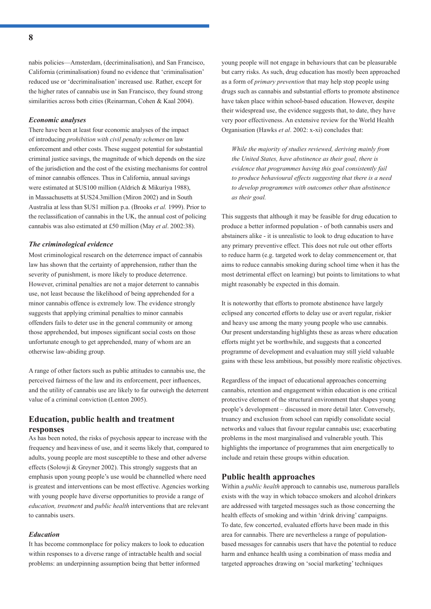nabis policies—Amsterdam, (decriminalisation), and San Francisco, California (criminalisation) found no evidence that 'criminalisation' reduced use or 'decriminalisation' increased use. Rather, except for the higher rates of cannabis use in San Francisco, they found strong similarities across both cities (Reinarman, Cohen & Kaal 2004).

#### *Economic analyses*

There have been at least four economic analyses of the impact of introducing *prohibition with civil penalty schemes* on law enforcement and other costs. These suggest potential for substantial criminal justice savings, the magnitude of which depends on the size of the jurisdiction and the cost of the existing mechanisms for control of minor cannabis offences. Thus in California, annual savings were estimated at \$US100 million (Aldrich & Mikuriya 1988), in Massachusetts at \$US24.3million (Miron 2002) and in South Australia at less than \$US1 million p.a. (Brooks *et al.* 1999). Prior to the reclassification of cannabis in the UK, the annual cost of policing cannabis was also estimated at £50 million (May *et al*. 2002:38).

#### *The criminological evidence*

Most criminological research on the deterrence impact of cannabis law has shown that the certainty of apprehension, rather than the severity of punishment, is more likely to produce deterrence. However, criminal penalties are not a major deterrent to cannabis use, not least because the likelihood of being apprehended for a minor cannabis offence is extremely low. The evidence strongly suggests that applying criminal penalties to minor cannabis offenders fails to deter use in the general community or among those apprehended, but imposes significant social costs on those unfortunate enough to get apprehended, many of whom are an otherwise law-abiding group.

A range of other factors such as public attitudes to cannabis use, the perceived fairness of the law and its enforcement, peer influences, and the utility of cannabis use are likely to far outweigh the deterrent value of a criminal conviction (Lenton 2005).

#### **Education, public health and treatment responses**

As has been noted, the risks of psychosis appear to increase with the frequency and heaviness of use, and it seems likely that, compared to adults, young people are most susceptible to these and other adverse effects (Solowji & Greyner 2002). This strongly suggests that an emphasis upon young people's use would be channelled where need is greatest and interventions can be most effective. Agencies working with young people have diverse opportunities to provide a range of *education, treatment* and *public health* interventions that are relevant to cannabis users.

#### *Education*

It has become commonplace for policy makers to look to education within responses to a diverse range of intractable health and social problems: an underpinning assumption being that better informed

young people will not engage in behaviours that can be pleasurable but carry risks. As such, drug education has mostly been approached as a form of *primary prevention* that may help stop people using drugs such as cannabis and substantial efforts to promote abstinence have taken place within school-based education. However, despite their widespread use, the evidence suggests that, to date, they have very poor effectiveness. An extensive review for the World Health Organisation (Hawks *et al*. 2002: x-xi) concludes that:

*While the majority of studies reviewed, deriving mainly from the United States, have abstinence as their goal, there is evidence that programmes having this goal consistently fail to produce behavioural effects suggesting that there is a need to develop programmes with outcomes other than abstinence as their goal.*

This suggests that although it may be feasible for drug education to produce a better informed population - of both cannabis users and abstainers alike - it is unrealistic to look to drug education to have any primary preventive effect. This does not rule out other efforts to reduce harm (e.g. targeted work to delay commencement or, that aims to reduce cannabis smoking during school time when it has the most detrimental effect on learning) but points to limitations to what might reasonably be expected in this domain.

It is noteworthy that efforts to promote abstinence have largely eclipsed any concerted efforts to delay use or avert regular, riskier and heavy use among the many young people who use cannabis. Our present understanding highlights these as areas where education efforts might yet be worthwhile, and suggests that a concerted programme of development and evaluation may still yield valuable gains with these less ambitious, but possibly more realistic objectives.

Regardless of the impact of educational approaches concerning cannabis, retention and engagement within education is one critical protective element of the structural environment that shapes young people's development – discussed in more detail later. Conversely, truancy and exclusion from school can rapidly consolidate social networks and values that favour regular cannabis use; exacerbating problems in the most marginalised and vulnerable youth. This highlights the importance of programmes that aim energetically to include and retain these groups within education.

#### **Public health approaches**

Within a *public health* approach to cannabis use, numerous parallels exists with the way in which tobacco smokers and alcohol drinkers are addressed with targeted messages such as those concerning the health effects of smoking and within 'drink driving' campaigns. To date, few concerted, evaluated efforts have been made in this area for cannabis. There are nevertheless a range of populationbased messages for cannabis users that have the potential to reduce harm and enhance health using a combination of mass media and targeted approaches drawing on 'social marketing' techniques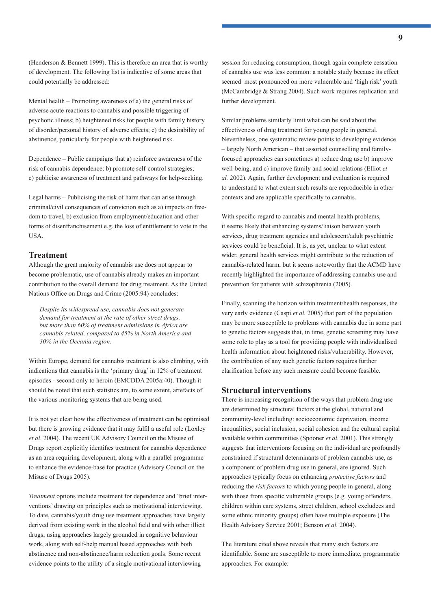(Henderson & Bennett 1999). This is therefore an area that is worthy of development. The following list is indicative of some areas that could potentially be addressed:

Mental health – Promoting awareness of a) the general risks of adverse acute reactions to cannabis and possible triggering of psychotic illness; b) heightened risks for people with family history of disorder/personal history of adverse effects; c) the desirability of abstinence, particularly for people with heightened risk.

Dependence – Public campaigns that a) reinforce awareness of the risk of cannabis dependence; b) promote self-control strategies; c) publicise awareness of treatment and pathways for help-seeking.

Legal harms – Publicising the risk of harm that can arise through criminal/civil consequences of conviction such as a) impacts on freedom to travel, b) exclusion from employment/education and other forms of disenfranchisement e.g. the loss of entitlement to vote in the USA.

#### **Treatment**

Although the great majority of cannabis use does not appear to become problematic, use of cannabis already makes an important contribution to the overall demand for drug treatment. As the United Nations Office on Drugs and Crime (2005:94) concludes:

*Despite its widespread use, cannabis does not generate demand for treatment at the rate of other street drugs, but more than 60% of treatment admissions in Africa are cannabis-related, compared to 45% in North America and 30% in the Oceania region.* 

Within Europe, demand for cannabis treatment is also climbing, with indications that cannabis is the 'primary drug' in 12% of treatment episodes - second only to heroin (EMCDDA 2005a:40). Though it should be noted that such statistics are, to some extent, artefacts of the various monitoring systems that are being used.

It is not yet clear how the effectiveness of treatment can be optimised but there is growing evidence that it may fulfil a useful role (Loxley *et al.* 2004). The recent UK Advisory Council on the Misuse of Drugs report explicitly identifies treatment for cannabis dependence as an area requiring development, along with a parallel programme to enhance the evidence-base for practice (Advisory Council on the Misuse of Drugs 2005).

*Treatment* options include treatment for dependence and 'brief interventions' drawing on principles such as motivational interviewing. To date, cannabis/youth drug use treatment approaches have largely derived from existing work in the alcohol field and with other illicit drugs; using approaches largely grounded in cognitive behaviour work, along with self-help manual based approaches with both abstinence and non-abstinence/harm reduction goals. Some recent evidence points to the utility of a single motivational interviewing

session for reducing consumption, though again complete cessation of cannabis use was less common: a notable study because its effect seemed most pronounced on more vulnerable and 'high risk' youth (McCambridge & Strang 2004). Such work requires replication and further development.

Similar problems similarly limit what can be said about the effectiveness of drug treatment for young people in general. Nevertheless, one systematic review points to developing evidence – largely North American – that assorted counselling and familyfocused approaches can sometimes a) reduce drug use b) improve well-being, and c) improve family and social relations (Elliot *et al.* 2002). Again, further development and evaluation is required to understand to what extent such results are reproducible in other contexts and are applicable specifically to cannabis.

With specific regard to cannabis and mental health problems, it seems likely that enhancing systems/liaison between youth services, drug treatment agencies and adolescent/adult psychiatric services could be beneficial. It is, as yet, unclear to what extent wider, general health services might contribute to the reduction of cannabis-related harm, but it seems noteworthy that the ACMD have recently highlighted the importance of addressing cannabis use and prevention for patients with schizophrenia (2005).

Finally, scanning the horizon within treatment/health responses, the very early evidence (Caspi *et al.* 2005) that part of the population may be more susceptible to problems with cannabis due in some part to genetic factors suggests that, in time, genetic screening may have some role to play as a tool for providing people with individualised health information about heightened risks/vulnerability. However, the contribution of any such genetic factors requires further clarification before any such measure could become feasible.

#### **Structural interventions**

There is increasing recognition of the ways that problem drug use are determined by structural factors at the global, national and community-level including: socioeconomic deprivation, income inequalities, social inclusion, social cohesion and the cultural capital available within communities (Spooner *et al.* 2001). This strongly suggests that interventions focusing on the individual are profoundly constrained if structural determinants of problem cannabis use, as a component of problem drug use in general, are ignored. Such approaches typically focus on enhancing *protective factors* and reducing the *risk factors* to which young people in general, along with those from specific vulnerable groups (e.g. young offenders, children within care systems, street children, school excludees and some ethnic minority groups) often have multiple exposure (The Health Advisory Service 2001; Benson *et al.* 2004).

The literature cited above reveals that many such factors are identifiable. Some are susceptible to more immediate, programmatic approaches. For example: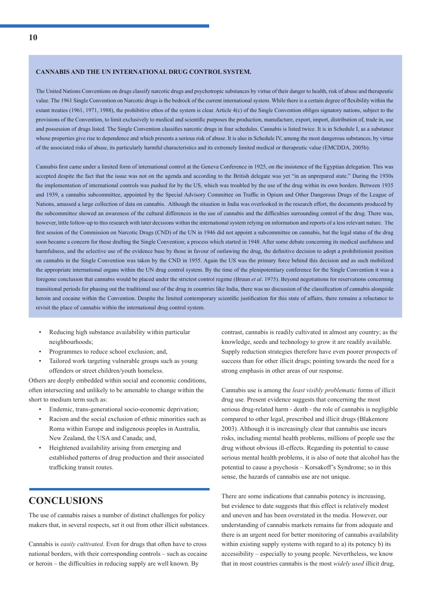#### **CANNABIS AND THE UN INTERNATIONAL DRUG CONTROL SYSTEM.**

The United Nations Conventions on drugs classify narcotic drugs and psychotropic substances by virtue of their danger to health, risk of abuse and therapeutic value. The 1961 Single Convention on Narcotic drugs is the bedrock of the current international system. While there is a certain degree of flexibility within the extant treaties (1961, 1971, 1988), the prohibitive ethos of the system is clear. Article 4(c) of the Single Convention obliges signatory nations, subject to the provisions of the Convention, to limit exclusively to medical and scientific purposes the production, manufacture, export, import, distribution of, trade in, use and possession of drugs listed. The Single Convention classifies narcotic drugs in four schedules. Cannabis is listed twice. It is in Schedule I, as a substance whose properties give rise to dependence and which presents a serious risk of abuse. It is also in Schedule IV, among the most dangerous substances, by virtue of the associated risks of abuse, its particularly harmful characteristics and its extremely limited medical or therapeutic value (EMCDDA, 2005b).

Cannabis first came under a limited form of international control at the Geneva Conference in 1925, on the insistence of the Egyptian delegation. This was accepted despite the fact that the issue was not on the agenda and according to the British delegate was yet "in an unprepared state." During the 1930s the implementation of international controls was pushed for by the US, which was troubled by the use of the drug within its own borders. Between 1935 and 1939, a cannabis subcommittee, appointed by the Special Advisory Committee on Traffic in Opium and Other Dangerous Drugs of the League of Nations, amassed a large collection of data on cannabis. Although the situation in India was overlooked in the research effort, the documents produced by the subcommittee showed an awareness of the cultural differences in the use of cannabis and the difficulties surrounding control of the drug. There was, however, little follow-up to this research with later decisions within the international system relying on information and reports of a less relevant nature. The first session of the Commission on Narcotic Drugs (CND) of the UN in 1946 did not appoint a subcommittee on cannabis, but the legal status of the drug soon became a concern for those drafting the Single Convention; a process which started in 1948. After some debate concerning its medical usefulness and harmfulness, and the selective use of the evidence base by those in favour of outlawing the drug, the definitive decision to adopt a prohibitionist position on cannabis in the Single Convention was taken by the CND in 1955. Again the US was the primary force behind this decision and as such mobilized the appropriate international organs within the UN drug control system. By the time of the plenipotentiary conference for the Single Convention it was a foregone conclusion that cannabis would be placed under the strictest control regime (Bruun *et al*. 1975). Beyond negotiations for reservations concerning transitional periods for phasing out the traditional use of the drug in countries like India, there was no discussion of the classifi cation of cannabis alongside heroin and cocaine within the Convention. Despite the limited contemporary scientific justification for this state of affairs, there remains a reluctance to revisit the place of cannabis within the international drug control system.

- Reducing high substance availability within particular neighbourhoods;
- Programmes to reduce school exclusion; and,
- Tailored work targeting vulnerable groups such as young offenders or street children/youth homeless.

Others are deeply embedded within social and economic conditions, often intersecting and unlikely to be amenable to change within the short to medium term such as:

- Endemic, trans-generational socio-economic deprivation;
- Racism and the social exclusion of ethnic minorities such as Roma within Europe and indigenous peoples in Australia, New Zealand, the USA and Canada; and,
- Heightened availability arising from emerging and established patterns of drug production and their associated trafficking transit routes.

## **CONCLUSIONS**

The use of cannabis raises a number of distinct challenges for policy makers that, in several respects, set it out from other illicit substances.

Cannabis is *easily cultivated*. Even for drugs that often have to cross national borders, with their corresponding controls – such as cocaine or heroin – the difficulties in reducing supply are well known. By

contrast, cannabis is readily cultivated in almost any country; as the knowledge, seeds and technology to grow it are readily available. Supply reduction strategies therefore have even poorer prospects of success than for other illicit drugs; pointing towards the need for a strong emphasis in other areas of our response.

Cannabis use is among the *least visibly problematic* forms of illicit drug use. Present evidence suggests that concerning the most serious drug-related harm - death - the role of cannabis is negligible compared to other legal, prescribed and illicit drugs (Blakemore 2003). Although it is increasingly clear that cannabis use incurs risks, including mental health problems, millions of people use the drug without obvious ill-effects. Regarding its potential to cause serious mental health problems, it is also of note that alcohol has the potential to cause a psychosis – Korsakoff's Syndrome; so in this sense, the hazards of cannabis use are not unique.

There are some indications that cannabis potency is increasing, but evidence to date suggests that this effect is relatively modest and uneven and has been overstated in the media. However, our understanding of cannabis markets remains far from adequate and there is an urgent need for better monitoring of cannabis availability within existing supply systems with regard to a) its potency b) its accessibility – especially to young people. Nevertheless, we know that in most countries cannabis is the most *widely used* illicit drug,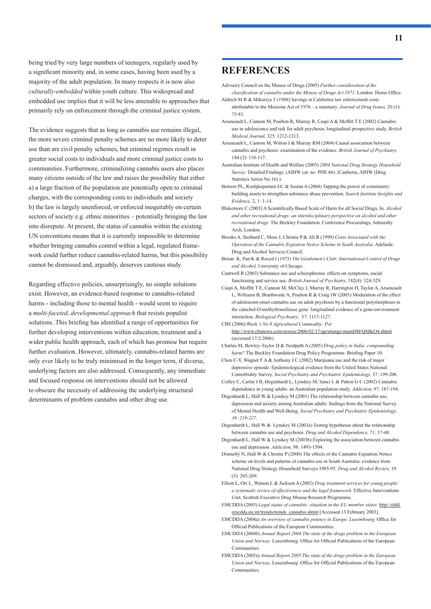being tried by very large numbers of teenagers, regularly used by a significant minority and, in some cases, having been used by a majority of the adult population. In many respects it is now also *culturally-embedded* within youth culture. This widespread and embedded use implies that it will be less amenable to approaches that primarily rely on enforcement through the criminal justice system.

The evidence suggests that as long as cannabis use remains illegal, the more severe criminal penalty schemes are no more likely to deter use than are civil penalty schemes, but criminal regimes result in greater social costs to individuals and more criminal justice costs to communities. Furthermore, criminalizing cannabis users also places many citizens outside of the law and raises the possibility that either a) a large fraction of the population are potentially open to criminal charges, with the corresponding costs to individuals and society b) the law is largely unenforced, or enforced inequitably on certain sectors of society e.g. ethnic minorities – potentially bringing the law into disrepute. At present, the status of cannabis within the existing UN conventions means that it is currently impossible to determine whether bringing cannabis control within a legal, regulated framework could further reduce cannabis-related harms, but this possibility cannot be dismissed and, arguably, deserves cautious study.

Regarding effective policies, unsurprisingly, no simple solutions exist. However, an evidence-based response to cannabis-related harms - including those to mental health - would seem to require a *multi-faceted, developmental approach* that resists populist solutions. This briefing has identified a range of opportunities for further developing interventions within education, treatment and a wider public health approach, each of which has promise but require further evaluation. However, ultimately, cannabis-related harms are only ever likely to be truly minimised in the longer term, if diverse, underlying factors are also addressed. Consequently, any immediate and focused response on interventions should not be allowed to obscure the necessity of addressing the underlying structural determinants of problem cannabis and other drug use.

### **REFERENCES**

Advisory Council on the Misuse of Drugs (2005) *Further consideration of the* 

- *classification of cannabis under the Misuse of Drugs Act 1971.* London: Home Office. Aldrich M R & Mikuriya T (1988) Savings in California law enforcement costs
- attributable to the Moscone Act of 1976 a summary. *Journal of Drug Issues,* 20 (1): 75-81.
- Arseneault L, Cannon M, Poulton R, Murray R, Caspi A & Moffitt T E (2002) Cannabis use in adolescence and risk for adult psychosis; longitudinal prospective study. *British Medical Journal,* 325: 1212-1213.
- Arseneault L, Cannon M, Witton J & Murray RM (2004) Causal association between cannabis and psychosis: examination of the evidence. *British Journal of Psychiatry,* 184 (2): 110-117.
- Australian Institute of Health and Welfare (2005) *2004 National Drug Strategy Household Survey:* Detailed Findings. (AIHW cat. no. PHE 66). (Canberra, AIHW (Drug Statistics Series No.16).).
- Benson PL, Roehjkepartain EC & Sesma A (2004) Tapping the power of community: building assets to strengthen substance abuse prevention. *Search Institute Insights and Evidence,* 2, 1: 1-14.
- Blakemore C (2003) A Scientifically Based Scale of Harm for all Social Drugs. In. *Alcohol and other recreational drugs: an interdisciplinary perspective on alcohol and other recreational drugs.* The Beckley Foundation. Conference Proceedings, Admiralty Arch, London.
- Brooks A, Stothard C, Moss J, Christie P & Ali R (1999) *Costs Associated with the Operation of the Cannabis Expiation Notice Scheme in South Australia.* Adelaide: Drug and Alcohol Services Council.
- Bruun K, Pan K & Rexed I (1975) *The Gentlemen's Club: International Control of Drugs and Alcohol,* University of Chicago.
- Cantwell R (2003) Substance use and schizophrenia: effects on symptoms, social functioning and service use. *British Journal of Psychiatry,* 182(4): 324-329.
- Caspi A, Moffitt T E, Cannon M, McClay J, Murray R, Harrington H, Taylor A, Arseneault L, Williams B, Braithwaite A, Poulton R & Craig IW (2005) Moderation of the effect of adolescent-onset cannabis use on adult psychosis by a functional polymorphism in the catachol-O-methyltransferase gene: longitudinal evidence of a gene-environment interaction. *Biological Psychiatry,* 57: 1117-1127.
- CBS (2006) *Wash.'s No 8 Agricultural Commodity: Pot* http://www.cbsnews.com/stories/2006/02/17/ap/strange/mainD8FQSIKO4.shtml (accessed 17/2/2006)
- Charles M, Bewley-Taylor D & Neidpath A (2005) *Drug policy in India: compounding harm?* The Beckley Foundation Drug Policy Programme. Briefing Paper 10.
- Chen C-Y, Wagner F A & Anthony J C (2002) Marijuana use and the risk of major depressive episode. Epidemiological evidence from the United States National Comorbidity Survey. *Social Psychiatry and Psychiatric Epidemiology,* 37: 199-206.
- Coffey C, Carlin J B, Degenhardt L, Lynskey M, Sanci L & Patton G C (2002) Cannabis dependence in young adults: an Australian population study. *Addiction,* 97: 187-194.
- Degenhardt L, Hall W & Lynskey M (2001) The relationship between cannabis use, depression and anxiety among Australian adults: findings from the National Survey of Mental Health and Well-Being. *Social Psychiatry and Psychiatric Epidemiology, 36: 219-227.*
- Degenhardt L, Hall W & Lynskey M (2003a) Testing hypotheses about the relationship between cannabis use and psychosis. *Drug and Alcohol Dependence,* 71: 37-48.
- Degenhardt L, Hall W & Lynskey M (2003b) Exploring the association between cannabis use and depression. *Addiction,* 98: 1493-1504.
- Donnelly N, Hall W & Christie P (2000) The effects of the Cannabis Expiation Notice scheme on levels and patterns of cannabis use in South Australia: evidence from National Drug Strategy Household Surveys 1985-95. *Drug and Alcohol Review,* 19 (3): 265-269.
- Elliott L, Orr L, Watson L & Jackson A (2002) *Drug treatment services for young people: a systematic review of effectiveness and the legal framework*. Effective Interventions Unit. Scottish Executive Drug Misuse Research Programme.
- EMCDDA (2003) *Legal status of cannabis: situation in the EU member states.* http://eldd. emcdda.eu.int/trends/trends\_cannabis.shtml [Accessed 13 February 2003].
- EMCDDA (2004a) *An overview of cannabis potency in Europe. Luxembourg*: Office for Official Publications of the European Communities.
- EMCDDA (2004b) *Annual Report 2004 The state of the drugs problem in the European Union and Norway*. Luxembourg: Office for Official Publications of the European Communities.
- EMCDDA (2005a) *Annual Report 2005 The state of the drugs problem in the European Union and Norway*. Luxembourg: Office for Official Publications of the European Communities.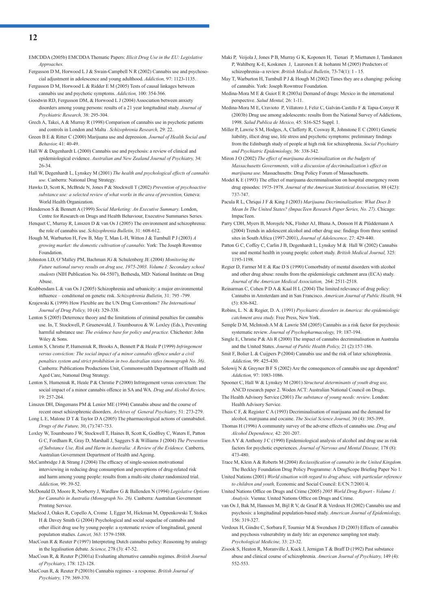EMCDDA (2005b) EMCDDA Thematic Papers: *Illicit Drug Use in the EU: Legislative Approaches.*

Fergusson D M, Horwood L J & Swain-Campbell N R (2002) Cannabis use and psychosocial adjustment in adolescence and young adulthood. *Addiction,* 97: 1123-1135.

Fergusson D M, Horwood L & Ridder E M (2005) Tests of causal linkages between cannabis use and psychotic symptoms. *Addiction,* 100: 354-366.

Goodwin RD, Fergusson DM, & Horwood L J (2004) Association between anxiety disorders among young persons: results of a 21 year longitudinal study. *Journal of Psychiatric Research,* 38: 295-304.

- Grech A, Takei, A & Murray R (1998) Comparison of cannabis use in psychotic patients and controls in London and Malta . *Schizophrenia Research,* 29: 22.
- Green B E & Ritter C (2000) Marijuana use and depression. *Journal of Health Social and Behavior,* 41: 40-49.
- Hall W & Degenhardt L (2000) Cannabis use and psychosis: a review of clinical and epidemiological evidence. *Australian and New Zealand Journal of Psychiatry,* 34: 26-34.
- Hall W, Degenhardt L, Lynskey M (2001) *The health and psychological effects of cannabis use.* Canberra: National Drug Strategy.
- Hawks D, Scott K, McBride N, Jones P & Stockwell T (2002) *Prevention of psychoactive substance use: a selected review of what works in the area of prevention,* Geneva: World Health Organization.
- Henderson S & Bennett A (1999) *Social Marketing: An Executive Summary.* London, Centre for Research on Drugs and Health Behaviour, Executive Summaries Series.
- Henquet C, Murray R, Linszen D & van Os J (2005) The environment and schizophrenia: the role of cannabis use. *Schizophrenia Bulletin,* 31: 608-612.

Hough M, Warburton H, Few B, May T, Man L-H, Witton J & Turnbull P J (2003) *A growing market: the domestic cultivation of cannabis.* York: The Joseph Rowntree Foundation.

Johnston LD, O'Malley PM, Bachman JG & Schulenberg JE (2004) *Monitoring the Future national survey results on drug use, 1975-2003. Volume I: Secondary school students* (NIH Publication No. 04-5507), Bethesda, MD: National Institute on Drug Abuse.

Krabbendam L & van Os J (2005) Schizophrenia and urbanicity: a major environmental influence – conditional on genetic risk. *Schizophrenia Bulletin*, 31: 795 -799.

Krajewski K (1999) How Flexible are the UN Drug Conventions? *The International Journal of Drug Policy,* 10 (4): 329-338.

- Lenton S (2005) Deterrence theory and the limitations of criminal penalties for cannabis use. In, T. Stockwell, P. Gruenewald, J. Toumbourou & W. Loxley (Eds.), Preventing harmful substance use: *The evidence base for policy and practice.* Chichester: John Wiley & Sons.
- Lenton S, Christie P, Humeniuk R, Brooks A, Bennett P & Heale P (1999) *Infringement versus conviction: The social impact of a minor cannabis offence under a civil penalties system and strict prohibition in two Australian states (monograph No. 36)*. Canberra: Publications Productions Unit, Commonwealth Department of Health and Aged Care, National Drug Strategy.
- Lenton S, Humeniuk R, Heale P & Christie P (2000) Infringement versus conviction: The social impact of a minor cannabis offence in SA and WA. *Drug and Alcohol Review,* 19: 257-264.
- Linszen DH, Dingemans PM & Lenior ME (1994) Cannabis abuse and the course of recent onset schizophrenic disorders. *Archives of General Psychiatry,* 51: 273-279.
- Long L E, Malone D T & Taylor D A (2005) The pharmacological actions of cannabidiol. *Drugs of the Future,* 30, (7):747-753.
- Loxley W, Toumbouro J W, Stockwell T, Haines B, Scott K, Godfrey C, Waters E, Patton G C, Fordham R, Gray D, Marshall J, Saggers S & Williams J (2004) *The Prevention of Substance Use, Risk and Harm in Australia: A Review of the Evidence.* Canberra, Australian Government Department of Health and Ageing.

McCambridge J & Strang J (2004) The efficacy of single-session motivational interviewing in reducing drug consumption and perceptions of drug-related risk and harm among young people: results from a multi-site cluster randomized trial. *Addiction,* 99: 39-52.

- McDonald D, Moore R, Norberry J, Wardlaw G & Ballenden N (1994) *Legislative Options for Cannabis in Australia (Monograph No. 26).* Canberra: Australian Government Printing Service.
- Macleod J, Oakes R, Copello A, Crome I, Egger M, Hickman M, Oppenkowski T, Stokes H & Davey Smith G (2004) Psychological and social sequelae of cannabis and other illicit drug use by young people: a systematic review of longitudinal, general population studies. *Lancet,* 363: 1579-1588.
- MacCoun R & Reuter P (1997) Interpreting Dutch cannabis policy: Reasoning by analogy in the legalisation debate. *Science,* 278 (3): 47-52.

MacCoun R, & Reuter P (2001a) Evaluating alternative cannabis regimes. *British Journal of Psychiatry,* 178: 123-128.

MacCoun R, & Reuter P (2001b) Cannabis regimes - a response. *British Journal of Psychiatry,* 179: 369-370.

Maki P, Veijola J, Jones P B, Murray G K, Koponen H, Tienari P, Miettunen J, Tanskanen P, Wahlberg K-E, Koskinen J, Lauronen E & Isohanni M (2005) Predictors of schizophrenia--a review. *British Medical Bulletin,* 73-74(1): 1 - 15.

May T, Warburton H, Turnbull P J & Hough M (2002) Times they are a changing: policing of cannabis. York: Joseph Rowntree Foundation.

Medina-Mora M E & Guiot E R (2003a) Demand of drugs: Mexico in the international perspective. *Salud Mental,* 26: 1-11.

Medina-Mora M E, Cravioto P, Villatoro J, Feliz C, Galván-Castillo F & Tapia-Conyer R (2003b) Drug use among adolescents: results from the National Survey of Addictions, 1998. *Salud Publica de Mexico,* 45: S16-S25 Suppl. 1.

Miller P, Lawrie S M, Hodges, A, Clafferty R, Cosway R, Johnstone E C (2001) Genetic liability, illicit drug use, life stress and psychotic symptoms: preliminary findings from the Edinburgh study of people at high risk for schizophrenia. *Social Psychiatry and Psychiatric Epidemiology,* 36: 338-342.

Miron J O (2002) *The effect of marijuana decriminalization on the budgets of Massachusetts Governments, with a discussion of decriminalization's effect on marijuana use.* Massachusetts: Drug Policy Forum of Massachusetts.

Model K E (1993) The effect of marijuana decriminalisation on hospital emergency room drug episodes: 1975-1978. *Journal of the American Statistical Association,* 88 (423): 737-747.

Pacula R L, Chriqui J F & King J (2003) *Marijuana Decriminalization: What Does It Mean In The United States? (ImpacTeen Research Paper Series, No. 27)*. Chicago: ImpacTeen.

Parry CDH, Myers B, Morojele NK, Flisher AJ, Bhana A, Donson H & Plüddemann A (2004) Trends in adolescent alcohol and other drug use: findings from three sentinel sites in South Africa (1997-2001), *Journal of Adolescence,* 27: 429-440.

Patton G C, Coffey C, Carlin J B, Degenhardt L, Lynskey M & Hall W (2002) Cannabis use and mental health in young people: cohort study. *British Medical Journal,* 325: 1195-1198.

Regier D, Farmer M E & Rae D S (1990) Comorbidity of mental disorders with alcohol and other drug abuse: results from the epidemiologic catchment area (ECA) study. *Journal of the American Medical Association,* 264: 2511-2518.

- Reinarman C, Cohen P D A & Kaal H L (2004) The limited relevance of drug policy: Cannabis in Amsterdam and in San Francisco. *American Journal of Public Health,* 94 (5): 836-842.
- Robins, L. N. & Regier, D. A. (1991) *Psychiatric disorders in America: the epidemiologic catchment area study.* Free Press, New York.

Semple D M, McIntosh A M & Lawrie SM (2005) Cannabis as a risk factor for psychosis: systematic review. *Journal of Psychopharmacology,* 19: 187-194.

- Single E, Christie P  $&$  Ali R (2000) The impact of cannabis decriminalisation in Australia and the United States. *Journal of Public Health Policy,* 21 (2):157-186.
- Smit F, Bolier L & Cuijpers P (2004) Cannabis use and the risk of later schizophrenia. *Addiction,* 99: 425-430.
- Solowij N & Greyner B F S (2002) Are the consequences of cannabis use age dependent? *Addiction,* 97: 1083-1086.

Spooner C, Hall W & Lynskey M (2001) *Structural determinants of youth drug use,* ANCD research paper 2. Woden ACT: Australian National Council on Drugs.

The Health Advisory Service (2001) *The substance of young needs: review*. London: Health Advisory Service.

Theis C F, & Register C A (1993) Decriminalisation of marijuana and the demand for alcohol, marijuana and cocaine. *The Social Science Journal,* 30 (4): 385-399.

Thomas H (1996) A community survey of the adverse effects of cannabis use. *Drug and Alcohol Dependence,* 42: 201-207.

Tien A Y & Anthony J C (1990) Epidemiological analysis of alcohol and drug use as risk factors for psychotic experiences. *Journal of Nervous and Mental Disease,* 178 (8): 473-480.

Trace M, Klein A & Roberts M (2004) *Reclassification of cannabis in the United Kingdom*. The Beckley Foundation Drug Policy Programme: A DrugScope Briefing Paper No 1.

- United Nations (2001) *World situation with regard to drug abuse, with particular reference to children and youth,* Economic and Social Council: E/CN.7/2001/4.
- United Nations Office on Drugs and Crime (2005) 2005 World Drug Report Volume 1: *Analysis.* Vienna: United Nations Office on Drugs and Crime.
- van Os J, Bak M, Hanssen M, Bijl R V, de Graaf R & Verdoux H (2002) Cannabis use and psychosis: a longitudinal population-based study. *American Journal of Epidemiology,* 156: 319-327.
- Verdoux H, Gindre C, Sorbara F, Tournier M & Swendsen J D (2003) Effects of cannabis and psychosis vulnerability in daily life: an experience sampling test study. *Psychological Medicine,* 33: 23-32.
- Zisook S, Heaton R, Moranville J, Kuck J, Jernigan T & Braff D (1992) Past substance abuse and clinical course of schizophrenia. *American Journal of Psychiatry,* 149 (4): 552-553.